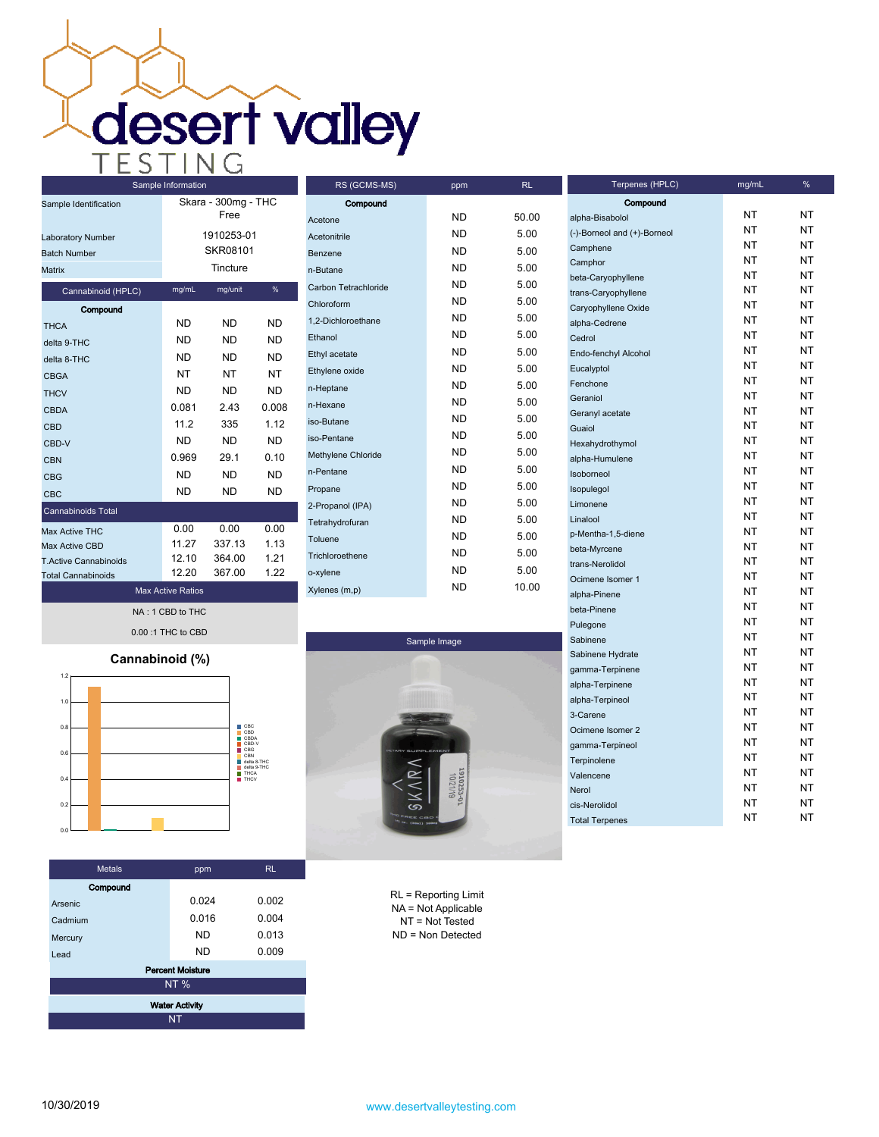| Sample Information           |           |                             |           |  |
|------------------------------|-----------|-----------------------------|-----------|--|
| Sample Identification        |           | Skara - 300mg - THC<br>Free |           |  |
| <b>Laboratory Number</b>     |           | 1910253-01                  |           |  |
| <b>Batch Number</b>          |           | SKR08101                    |           |  |
| Matrix                       |           | Tincture                    |           |  |
| Cannabinoid (HPLC)           | mg/mL     | mg/unit                     | %         |  |
| Compound                     |           |                             |           |  |
| <b>THCA</b>                  | <b>ND</b> | <b>ND</b>                   | <b>ND</b> |  |
| delta 9-THC                  | <b>ND</b> | <b>ND</b>                   | <b>ND</b> |  |
| delta 8-THC                  | ND.       | ND.                         | ND        |  |
| <b>CBGA</b>                  | NT        | NΤ                          | NT        |  |
| <b>THCV</b>                  | ND        | ND                          | <b>ND</b> |  |
| <b>CBDA</b>                  | 0.081     | 2.43                        | 0.008     |  |
| CBD                          | 11.2      | 335                         | 1.12      |  |
| CBD-V                        | <b>ND</b> | ND.                         | ND.       |  |
| CBN                          | 0.969     | 29.1                        | 0.10      |  |
| <b>CBG</b>                   | <b>ND</b> | <b>ND</b>                   | <b>ND</b> |  |
| CBC                          | ND        | ND                          | <b>ND</b> |  |
| <b>Cannabinoids Total</b>    |           |                             |           |  |
| Max Active THC               | 0.00      | 0.00                        | 0.00      |  |
| <b>Max Active CBD</b>        | 11.27     | 337.13                      | 1.13      |  |
| <b>T.Active Cannabinoids</b> | 12.10     | 364.00                      | 1.21      |  |
| Total Cannahinoide           | 12.20     | 367.00                      | 1.22      |  |

| RS (GCMS-MS)         | ppm       | RL    | Terpenes (HPLC)                      |
|----------------------|-----------|-------|--------------------------------------|
| Compound             |           |       | Compound                             |
| Acetone              | ND.       | 50.00 | alpha-Bisabolol                      |
| Acetonitrile         | ND.       | 5.00  | (-)-Borneol and (+)-Borneol          |
| Benzene              | ND.       | 5.00  | Camphene                             |
| n-Butane             | ND.       | 5.00  | Camphor                              |
| Carbon Tetrachloride | ND.       | 5.00  | beta-Caryophyllene                   |
| Chloroform           | ND.       | 5.00  | trans-Caryophyllene                  |
| 1,2-Dichloroethane   | ND.       | 5.00  | Caryophyllene Oxide<br>alpha-Cedrene |
| Ethanol              | ND.       | 5.00  | Cedrol                               |
| Ethyl acetate        | ND.       | 5.00  | Endo-fenchyl Alcohol                 |
| Ethylene oxide       | <b>ND</b> | 5.00  | Eucalyptol                           |
|                      | ND.       | 5.00  | Fenchone                             |
| n-Heptane            | ND.       | 5.00  | Geraniol                             |
| n-Hexane             | ND.       | 5.00  | Geranyl acetate                      |
| iso-Butane           | ND.       | 5.00  | Guaiol                               |
| iso-Pentane          | ND.       |       | Hexahydrothymol                      |
| Methylene Chloride   |           | 5.00  | alpha-Humulene                       |
| n-Pentane            | ND.       | 5.00  | Isoborneol                           |
| Propane              | ND.       | 5.00  | Isopulegol                           |
| 2-Propanol (IPA)     | ND.       | 5.00  | Limonene                             |
| Tetrahydrofuran      | ND.       | 5.00  | Linalool                             |
| Toluene              | ND.       | 5.00  | p-Mentha-1,5-diene                   |
| Trichloroethene      | ND.       | 5.00  | beta-Myrcene                         |
| o-xylene             | ND.       | 5.00  | trans-Nerolidol                      |
| Xylenes (m,p)        | <b>ND</b> | 10.00 | Ocimene Isomer 1                     |
|                      |           |       | alpha-Pinene                         |

**Max Active Ratios NA : 1 CBD to THC 0.00 :1 THC to CBD**

**Total Cannabinoids**



| <b>Metals</b>           | ppm   | RL.   |  |  |
|-------------------------|-------|-------|--|--|
| Compound                |       |       |  |  |
| Arsenic                 | 0.024 | 0.002 |  |  |
| Cadmium                 | 0.016 | 0.004 |  |  |
| Mercury                 | ND    | 0.013 |  |  |
| Lead                    | ND    | 0.009 |  |  |
| <b>Percent Moisture</b> |       |       |  |  |
| <b>NT%</b>              |       |       |  |  |
| <b>Water Activity</b>   |       |       |  |  |
| NT                      |       |       |  |  |



RL = Reporting Limit NA = Not Applicable NT = Not Tested ND = Non Detected

| alpha-Bisabolol             | ΝT | NΤ |
|-----------------------------|----|----|
| (-)-Borneol and (+)-Borneol | NΤ | NT |
| Camphene                    | NΤ | NT |
| Camphor                     | NΤ | NT |
| beta-Caryophyllene          | NT | NΤ |
| trans-Caryophyllene         | NT | NΤ |
| Caryophyllene Oxide         | NT | NT |
| alpha-Cedrene               | NΤ | NΤ |
| Cedrol                      | NΤ | NΤ |
| Endo-fenchyl Alcohol        | NΤ | NT |
| Eucalyptol                  | NΤ | NΤ |
| Fenchone                    | NΤ | NT |
| Geraniol                    | NΤ | NT |
| Geranyl acetate             | NT | NT |
| Guaiol                      | NΤ | NT |
| Hexahydrothymol             | NΤ | NΤ |
| alpha-Humulene              | NΤ | NΤ |
| Isoborneol                  | NΤ | NT |
| Isopulegol                  | NΤ | NΤ |
| Limonene                    | NΤ | NT |
| Linalool                    | NΤ | NΤ |
| p-Mentha-1,5-diene          | NT | NT |
| beta-Myrcene                | NT | NT |
| trans-Nerolidol             | NT | NT |
| Ocimene Isomer 1            | NΤ | NΤ |
| alpha-Pinene                | NΤ | NΤ |
| beta-Pinene                 | NΤ | NΤ |
| Pulegone                    | NΤ | NΤ |
| Sabinene                    | NΤ | NT |
| Sabinene Hydrate            | NΤ | NT |
| gamma-Terpinene             | NT | NT |
| alpha-Terpinene             | NT | NT |
| alpha-Terpineol             | NΤ | NΤ |
| 3-Carene                    | NΤ | NΤ |
| Ocimene Isomer 2            | NΤ | NΤ |
| gamma-Terpineol             | NΤ | NT |
| Terpinolene                 | NΤ | NT |
| Valencene                   | NΤ | NΤ |
| Nerol                       | NT | NT |
| cis-Nerolidol               | NΤ | NΤ |
| <b>Total Terpenes</b>       | NΤ | NΤ |
|                             |    |    |

**Terpenes (HPLC) mg/mL %**